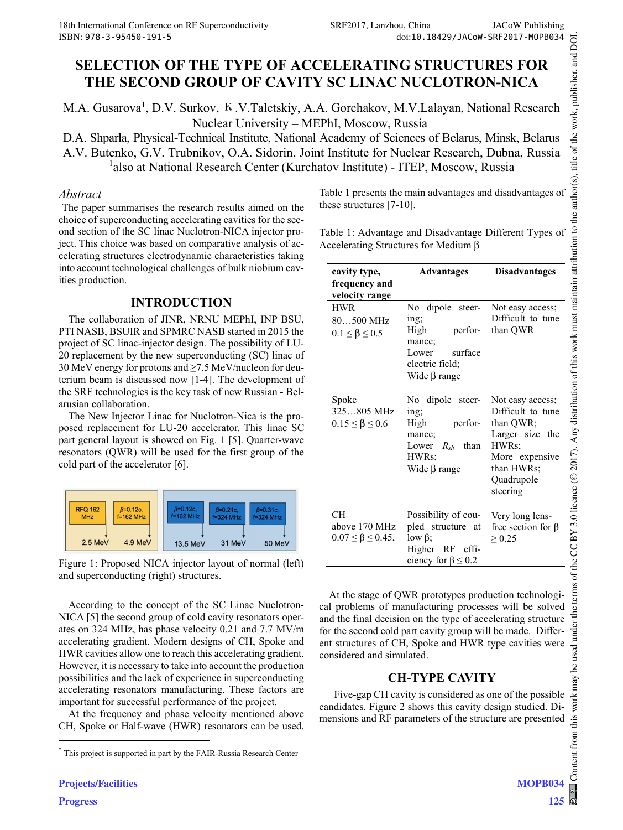# **SELECTION OF THE TYPE OF ACCELERATING STRUCTURES FOR THE SECOND GROUP OF CAVITY SC LINAC NUCLOTRON-NICA**

M.A. Gusarova<sup>1</sup>, D.V. Surkov, K.V.Taletskiy, A.A. Gorchakov, M.V.Lalayan, National Research Nuclear University – MEPhI, Moscow, Russia

D.A. Shparla, Physical-Technical Institute, National Academy of Sciences of Belarus, Minsk, Belarus A.V. Butenko, G.V. Trubnikov, O.A. Sidorin, Joint Institute for Nuclear Research, Dubna, Russia <sup>1</sup>also at National Research Center (Kurchatov Institute) - ITEP, Moscow, Russia

### *Abstract*

The paper summarises the research results aimed on the choice of superconducting accelerating cavities for the second section of the SC linac Nuclotron-NICA injector project. This choice was based on comparative analysis of accelerating structures electrodynamic characteristics taking into account technological challenges of bulk niobium cavities production.

# **INTRODUCTION**

The collaboration of JINR, NRNU MEPhI, INP BSU, PTI NASB, BSUIR and SPMRC NASB started in 2015 the project of SC linac-injector design. The possibility of LU-20 replacement by the new superconducting (SC) linac of 30 MeV energy for protons and ≥7.5 MeV/nucleon for deuterium beam is discussed now [1-4]. The development of the SRF technologies is the key task of new Russian - Belarusian collaboration.

The New Injector Linac for Nuclotron-Nica is the proposed replacement for LU-20 accelerator. This linac SC part general layout is showed on Fig. 1 [5]. Quarter-wave resonators (QWR) will be used for the first group of the cold part of the accelerator [6].



Figure 1: Proposed NICA injector layout of normal (left) and superconducting (right) structures.

According to the concept of the SC Linac Nuclotron-NICA [5] the second group of cold cavity resonators operates on 324 MHz, has phase velocity 0.21 and 7.7 MV/m accelerating gradient. Modern designs of СН, Spoke and HWR cavities allow one to reach this accelerating gradient. However, it is necessary to take into account the production possibilities and the lack of experience in superconducting accelerating resonators manufacturing. These factors are important for successful performance of the project.

At the frequency and phase velocity mentioned above CH, Spoke or Half-wave (HWR) resonators can be used. Table 1 presents the main advantages and disadvantages of these structures [7-10].

Table 1: Advantage and Disadvantage Different Types of Accelerating Structures for Medium β

| cavity type,                                                | <b>Advantages</b>                                                                                              | <b>Disadvantages</b>                                                                                                                     |
|-------------------------------------------------------------|----------------------------------------------------------------------------------------------------------------|------------------------------------------------------------------------------------------------------------------------------------------|
| frequency and<br>velocity range                             |                                                                                                                |                                                                                                                                          |
| <b>HWR</b><br>$80500$ MHz<br>$0.1 \leq \beta \leq 0.5$      | No dipole steer-<br>ing;<br>perfor-<br>High<br>mance;<br>Lower<br>surface<br>electric field;<br>Wide $β$ range | Not easy access;<br>Difficult to tune<br>than QWR                                                                                        |
| Spoke<br>325805 MHz<br>$0.15 \leq \beta \leq 0.6$           | No dipole steer-<br>ing;<br>perfor-<br>High<br>mance;<br>Lower<br>$R_{sh}$ than<br>HWRs;<br>Wide $\beta$ range | Not easy access;<br>Difficult to tune<br>than QWR;<br>Larger size the<br>HWRs;<br>More expensive<br>than HWRs;<br>Quadrupole<br>steering |
| <b>CH</b><br>above 170 MHz<br>$0.07 \leq \beta \leq 0.45$ , | Possibility of cou-<br>pled structure at<br>$low \beta$ ;<br>Higher RF effi-<br>ciency for $\beta \le 0.2$     | Very long lens-<br>free section for $\beta$<br>$\geq 0.25$                                                                               |

At the stage of QWR prototypes production technological problems of manufacturing processes will be solved and the final decision on the type of accelerating structure for the second cold part cavity group will be made. Different structures of CH, Spoke and HWR type cavities were considered and simulated.

# **CH-TYPE CAVITY**

Five-gap CH cavity is considered as one of the possible candidates. Figure 2 shows this cavity design studied. Dimensions and RF parameters of the structure are presented

 $\overline{a}$ 

<sup>\*</sup> This project is supported in part by the FAIR-Russia Research Center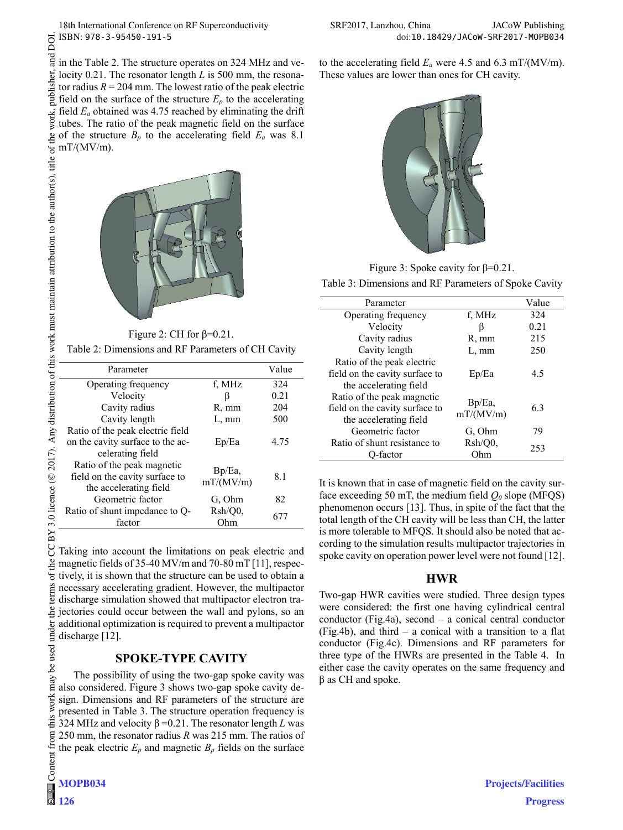in the Table 2. The structure operates on 324 MHz and velocity 0.21. The resonator length *L* is 500 mm, the resonator radius  $R = 204$  mm. The lowest ratio of the peak electric field on the surface of the structure  $E_p$  to the accelerating field *Ea* obtained was 4.75 reached by eliminating the drift tubes. The ratio of the peak magnetic field on the surface of the structure  $B_p$  to the accelerating field  $E_a$  was 8.1  $mT/(MV/m)$ .



Figure 2: CH for  $\beta$ =0.21.

Table 2: Dimensions and RF Parameters of CH Cavity

| Parameter                                                                              |                        | Value |
|----------------------------------------------------------------------------------------|------------------------|-------|
| Operating frequency                                                                    | f, MHz                 | 324   |
| Velocity                                                                               | ß                      | 0.21  |
| Cavity radius                                                                          | R, mm                  | 204   |
| Cavity length                                                                          | L, mm                  | 500   |
| Ratio of the peak electric field                                                       |                        |       |
| on the cavity surface to the ac-                                                       | Ep/Ea                  | 4.75  |
| celerating field                                                                       |                        |       |
| Ratio of the peak magnetic<br>field on the cavity surface to<br>the accelerating field | $Bp/Ea$ ,<br>mT/(MV/m) | 8.1   |
| Geometric factor                                                                       | G. Ohm                 | 82    |
| Ratio of shunt impedance to Q-                                                         | Rsh/O0.                | 677   |
| factor                                                                                 | Ohm                    |       |

Taking into account the limitations on peak electric and magnetic fields of 35-40 MV/m and 70-80 mT [11], respectively, it is shown that the structure can be used to obtain a necessary accelerating gradient. However, the multipactor discharge simulation showed that multipactor electron tra- $\frac{1}{2}$  jectories could occur between the wall and pylons, so an additional optimization is required to prevent a multipactor discharge [12].

# **SPOKE-TYPE CAVITY**

The possibility of using the two-gap spoke cavity was also considered. Figure 3 shows two-gap spoke cavity design. Dimensions and RF parameters of the structure are presented in Table 3. The structure operation frequency is 324 MHz and velocity β =0.21. The resonator length *L* was 250 mm, the resonator radius *R* was 215 mm. The ratios of the peak electric  $E_p$  and magnetic  $B_p$  fields on the surface to the accelerating field  $E_a$  were 4.5 and 6.3 mT/(MV/m). These values are lower than ones for CH cavity.



Figure 3: Spoke cavity for β=0.21.

Table 3: Dimensions and RF Parameters of Spoke Cavity

| Parameter                                                                              |                        | Value |
|----------------------------------------------------------------------------------------|------------------------|-------|
| Operating frequency                                                                    | f, MHz                 | 324   |
| Velocity                                                                               | ß                      | 0.21  |
| Cavity radius                                                                          | R, mm                  | 215   |
| Cavity length                                                                          | $L, \, mm$             | 250   |
| Ratio of the peak electric<br>field on the cavity surface to<br>the accelerating field | Ep/Ea                  | 4.5   |
| Ratio of the peak magnetic<br>field on the cavity surface to<br>the accelerating field | $Bp/Ea$ ,<br>mT/(MV/m) | 6.3   |
| Geometric factor                                                                       | G. Ohm                 | 79    |
| Ratio of shunt resistance to<br>-factor                                                | Rsh/Q0,<br>Ohm         | 253   |

It is known that in case of magnetic field on the cavity surface exceeding 50 mT, the medium field  $Q_0$  slope (MFQS) phenomenon occurs [13]. Thus, in spite of the fact that the total length of the CH cavity will be less than CH, the latter is more tolerable to MFQS. It should also be noted that according to the simulation results multipactor trajectories in spoke cavity on operation power level were not found [12].

#### **HWR**

Two-gap HWR cavities were studied. Three design types were considered: the first one having cylindrical central conductor (Fig.4a), second – a conical central conductor (Fig.4b), and third – a conical with a transition to a flat conductor (Fig.4c). Dimensions and RF parameters for three type of the HWRs are presented in the Table 4. In either case the cavity operates on the same frequency and  $β$  as CH and spoke.